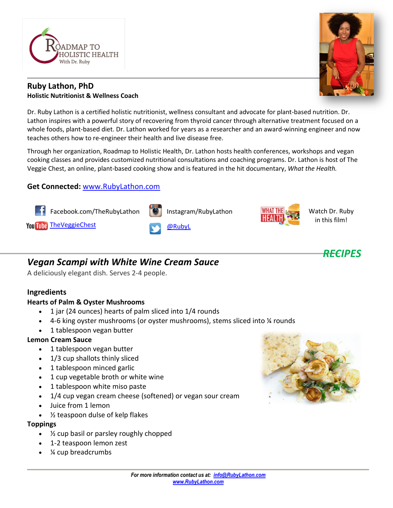

### **Ruby Lathon, PhD Holistic Nutritionist & Wellness Coach**

Dr. Ruby Lathon is a certified holistic nutritionist, wellness consultant and advocate for plant-based nutrition. Dr. Lathon inspires with a powerful story of recovering from thyroid cancer through alternative treatment focused on a whole foods, plant-based diet. Dr. Lathon worked for years as a researcher and an award-winning engineer and now teaches others how to re-engineer their health and live disease free.

Through her organization, Roadmap to Holistic Health, Dr. Lathon hosts health conferences, workshops and vegan cooking classes and provides customized nutritional consultations and coaching programs. Dr. Lathon is host of The Veggie Chest, an online, plant-based cooking show and is featured in the hit documentary, *What the Health.*

## **Get Connected:** [www.RubyLathon.com](http://www.rubylathon.com/)



# *Vegan Scampi with White Wine Cream Sauce*

A deliciously elegant dish. Serves 2-4 people.

### **Ingredients**

### **Hearts of Palm & Oyster Mushrooms**

- 1 jar (24 ounces) hearts of palm sliced into 1/4 rounds
- 4-6 king oyster mushrooms (or oyster mushrooms), stems sliced into ¼ rounds
- 1 tablespoon vegan butter

### **Lemon Cream Sauce**

- 1 tablespoon vegan butter
- 1/3 cup shallots thinly sliced
- 1 tablespoon minced garlic
- 1 cup vegetable broth or white wine
- 1 tablespoon white miso paste
- 1/4 cup vegan cream cheese (softened) or vegan sour cream
- Juice from 1 lemon
- ½ teaspoon dulse of kelp flakes

#### **Toppings**

- ½ cup basil or parsley roughly chopped
- 1-2 teaspoon lemon zest
- ¼ cup breadcrumbs





*RECIPES*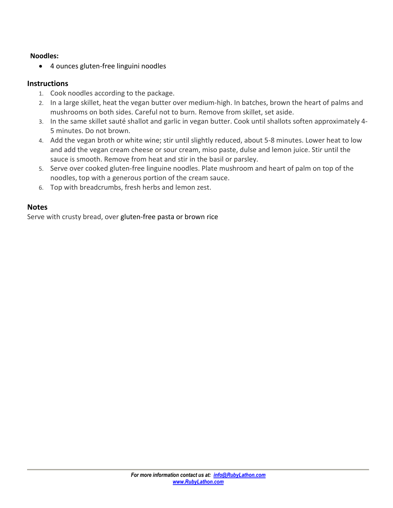### **Noodles:**

• 4 ounces gluten-free linguini noodles

# **Instructions**

- 1. Cook noodles according to the package.
- 2. In a large skillet, heat the vegan butter over medium-high. In batches, brown the heart of palms and mushrooms on both sides. Careful not to burn. Remove from skillet, set aside.
- 3. In the same skillet sauté shallot and garlic in vegan butter. Cook until shallots soften approximately 4- 5 minutes. Do not brown.
- 4. Add the vegan broth or white wine; stir until slightly reduced, about 5-8 minutes. Lower heat to low and add the vegan cream cheese or sour cream, miso paste, dulse and lemon juice. Stir until the sauce is smooth. Remove from heat and stir in the basil or parsley.
- 5. Serve over cooked gluten-free linguine noodles. Plate mushroom and heart of palm on top of the noodles, top with a generous portion of the cream sauce.
- 6. Top with breadcrumbs, fresh herbs and lemon zest.

## **Notes**

Serve with crusty bread, over [gluten-free pasta](https://www.kqzyfj.com/click-9265837-13305110?url=https%3A%2F%2Fthrivemarket.com%2Fp%2Fjovial-brown-rice-spaghetti&cjsku=815421011203) or [brown rice](https://www.tkqlhce.com/click-9265837-13305110?url=https%3A%2F%2Fthrivemarket.com%2Fp%2Fthrive-market-organic-sprouted-brown-rice&cjsku=671635703132)